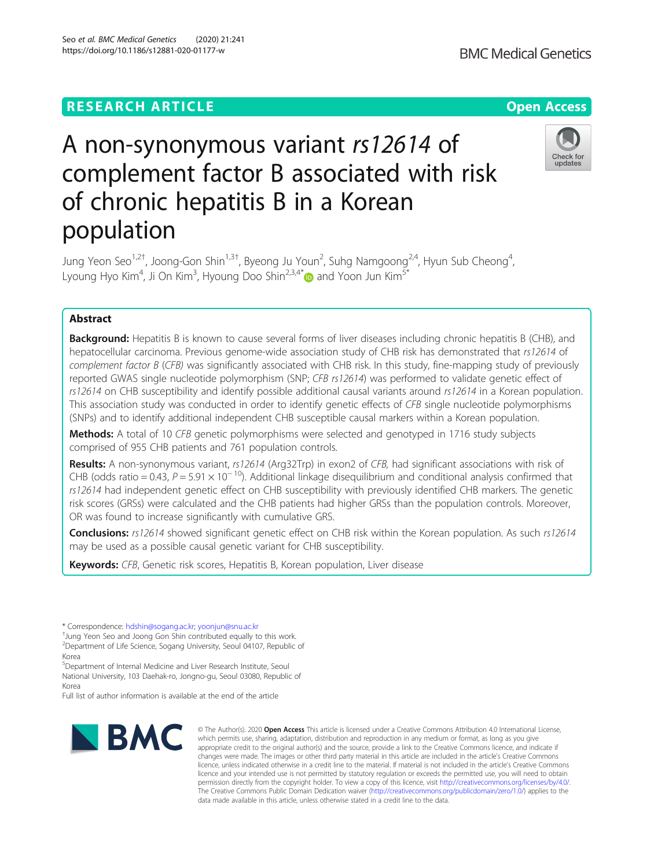## Seo et al. BMC Medical Genetics (2020) 21:241 https://doi.org/10.1186/s12881-020-01177-w

**BMC Medical Genetics** 



# A non-synonymous variant rs12614 of complement factor B associated with risk of chronic hepatitis B in a Korean population

Jung Yeon Seo<sup>1,2†</sup>, Joong-Gon Shin<sup>1,3†</sup>, Byeong Ju Youn<sup>2</sup>, Suhg Namgoong<sup>2,4</sup>, Hyun Sub Cheong<sup>4</sup> , Lyoung Hyo Kim $^4$ , Ji On Kim $^3$ , Hyoung Doo Shin $^{2,3,4^\ast}$  and Yoon Jun Kim $^{5^\ast}$ 

## Abstract

Background: Hepatitis B is known to cause several forms of liver diseases including chronic hepatitis B (CHB), and hepatocellular carcinoma. Previous genome-wide association study of CHB risk has demonstrated that rs12614 of complement factor B (CFB) was significantly associated with CHB risk. In this study, fine-mapping study of previously reported GWAS single nucleotide polymorphism (SNP; CFB rs12614) was performed to validate genetic effect of rs12614 on CHB susceptibility and identify possible additional causal variants around rs12614 in a Korean population. This association study was conducted in order to identify genetic effects of CFB single nucleotide polymorphisms (SNPs) and to identify additional independent CHB susceptible causal markers within a Korean population.

**Methods:** A total of 10 CFB genetic polymorphisms were selected and genotyped in 1716 study subjects comprised of 955 CHB patients and 761 population controls.

Results: A non-synonymous variant, rs12614 (Arg32Trp) in exon2 of CFB, had significant associations with risk of CHB (odds ratio = 0.43,  $P = 5.91 \times 10^{-10}$ ). Additional linkage disequilibrium and conditional analysis confirmed that rs12614 had independent genetic effect on CHB susceptibility with previously identified CHB markers. The genetic risk scores (GRSs) were calculated and the CHB patients had higher GRSs than the population controls. Moreover, OR was found to increase significantly with cumulative GRS.

Conclusions: rs12614 showed significant genetic effect on CHB risk within the Korean population. As such rs12614 may be used as a possible causal genetic variant for CHB susceptibility.

Keywords: CFB, Genetic risk scores, Hepatitis B, Korean population, Liver disease

\* Correspondence: [hdshin@sogang.ac.kr;](mailto:hdshin@sogang.ac.kr) [yoonjun@snu.ac.kr](mailto:yoonjun@snu.ac.kr) †

Jung Yeon Seo and Joong Gon Shin contributed equally to this work. 2 Department of Life Science, Sogang University, Seoul 04107, Republic of Korea

5 Department of Internal Medicine and Liver Research Institute, Seoul National University, 103 Daehak-ro, Jongno-gu, Seoul 03080, Republic of Korea

Full list of author information is available at the end of the article



© The Author(s), 2020 **Open Access** This article is licensed under a Creative Commons Attribution 4.0 International License, which permits use, sharing, adaptation, distribution and reproduction in any medium or format, as long as you give appropriate credit to the original author(s) and the source, provide a link to the Creative Commons licence, and indicate if changes were made. The images or other third party material in this article are included in the article's Creative Commons licence, unless indicated otherwise in a credit line to the material. If material is not included in the article's Creative Commons licence and your intended use is not permitted by statutory regulation or exceeds the permitted use, you will need to obtain permission directly from the copyright holder. To view a copy of this licence, visit [http://creativecommons.org/licenses/by/4.0/.](http://creativecommons.org/licenses/by/4.0/) The Creative Commons Public Domain Dedication waiver [\(http://creativecommons.org/publicdomain/zero/1.0/](http://creativecommons.org/publicdomain/zero/1.0/)) applies to the data made available in this article, unless otherwise stated in a credit line to the data.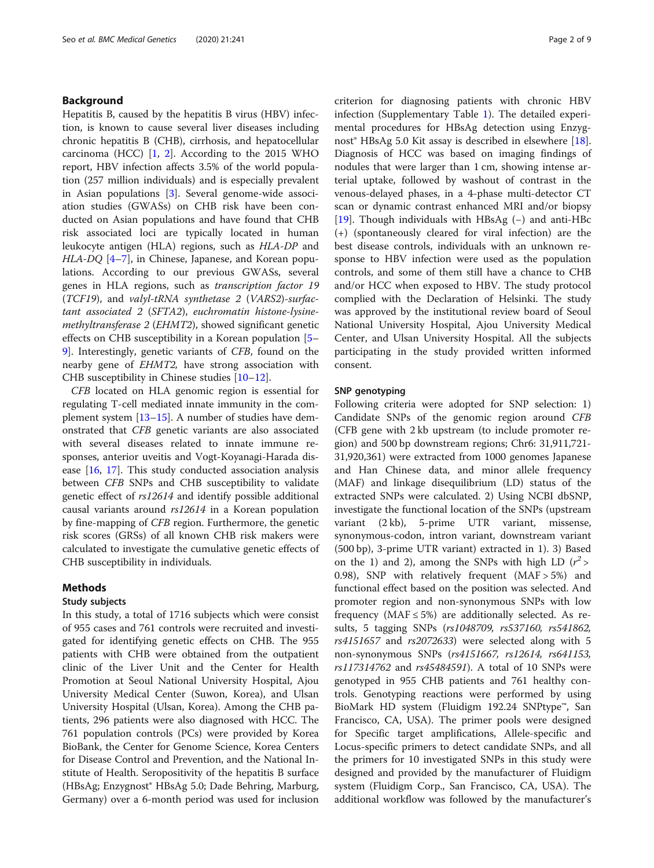## Background

Hepatitis B, caused by the hepatitis B virus (HBV) infection, is known to cause several liver diseases including chronic hepatitis B (CHB), cirrhosis, and hepatocellular carcinoma (HCC) [\[1](#page-7-0), [2\]](#page-7-0). According to the 2015 WHO report, HBV infection affects 3.5% of the world population (257 million individuals) and is especially prevalent in Asian populations [[3\]](#page-7-0). Several genome-wide association studies (GWASs) on CHB risk have been conducted on Asian populations and have found that CHB risk associated loci are typically located in human leukocyte antigen (HLA) regions, such as HLA-DP and HLA-DQ [[4](#page-7-0)–[7\]](#page-8-0), in Chinese, Japanese, and Korean populations. According to our previous GWASs, several genes in HLA regions, such as transcription factor 19 (TCF19), and valyl-tRNA synthetase 2 (VARS2)-surfactant associated 2 (SFTA2), euchromatin histone-lysinemethyltransferase 2 (EHMT2), showed significant genetic effects on CHB susceptibility in a Korean population [[5](#page-7-0)– [9\]](#page-8-0). Interestingly, genetic variants of CFB, found on the nearby gene of EHMT2, have strong association with CHB susceptibility in Chinese studies [\[10](#page-8-0)–[12\]](#page-8-0).

CFB located on HLA genomic region is essential for regulating T-cell mediated innate immunity in the complement system [[13](#page-8-0)–[15](#page-8-0)]. A number of studies have demonstrated that CFB genetic variants are also associated with several diseases related to innate immune responses, anterior uveitis and Vogt-Koyanagi-Harada disease [[16,](#page-8-0) [17\]](#page-8-0). This study conducted association analysis between CFB SNPs and CHB susceptibility to validate genetic effect of rs12614 and identify possible additional causal variants around rs12614 in a Korean population by fine-mapping of CFB region. Furthermore, the genetic risk scores (GRSs) of all known CHB risk makers were calculated to investigate the cumulative genetic effects of CHB susceptibility in individuals.

## Methods

## Study subjects

In this study, a total of 1716 subjects which were consist of 955 cases and 761 controls were recruited and investigated for identifying genetic effects on CHB. The 955 patients with CHB were obtained from the outpatient clinic of the Liver Unit and the Center for Health Promotion at Seoul National University Hospital, Ajou University Medical Center (Suwon, Korea), and Ulsan University Hospital (Ulsan, Korea). Among the CHB patients, 296 patients were also diagnosed with HCC. The 761 population controls (PCs) were provided by Korea BioBank, the Center for Genome Science, Korea Centers for Disease Control and Prevention, and the National Institute of Health. Seropositivity of the hepatitis B surface (HBsAg; Enzygnost® HBsAg 5.0; Dade Behring, Marburg, Germany) over a 6-month period was used for inclusion

criterion for diagnosing patients with chronic HBV infection (Supplementary Table [1\)](#page-7-0). The detailed experimental procedures for HBsAg detection using Enzyg-nost<sup>®</sup> HBsAg 5.0 Kit assay is described in elsewhere [\[18](#page-8-0)]. Diagnosis of HCC was based on imaging findings of nodules that were larger than 1 cm, showing intense arterial uptake, followed by washout of contrast in the venous-delayed phases, in a 4-phase multi-detector CT scan or dynamic contrast enhanced MRI and/or biopsy [[19\]](#page-8-0). Though individuals with HBsAg (−) and anti-HBc (+) (spontaneously cleared for viral infection) are the best disease controls, individuals with an unknown response to HBV infection were used as the population controls, and some of them still have a chance to CHB and/or HCC when exposed to HBV. The study protocol complied with the Declaration of Helsinki. The study was approved by the institutional review board of Seoul National University Hospital, Ajou University Medical Center, and Ulsan University Hospital. All the subjects participating in the study provided written informed consent.

## SNP genotyping

Following criteria were adopted for SNP selection: 1) Candidate SNPs of the genomic region around CFB (CFB gene with 2 kb upstream (to include promoter region) and 500 bp downstream regions; Chr6: 31,911,721- 31,920,361) were extracted from 1000 genomes Japanese and Han Chinese data, and minor allele frequency (MAF) and linkage disequilibrium (LD) status of the extracted SNPs were calculated. 2) Using NCBI dbSNP, investigate the functional location of the SNPs (upstream variant (2 kb), 5-prime UTR variant, missense, synonymous-codon, intron variant, downstream variant (500 bp), 3-prime UTR variant) extracted in 1). 3) Based on the 1) and 2), among the SNPs with high LD  $(r^2)$ 0.98), SNP with relatively frequent (MAF > 5%) and functional effect based on the position was selected. And promoter region and non-synonymous SNPs with low frequency ( $MAF \le 5\%$ ) are additionally selected. As results, 5 tagging SNPs (rs1048709, rs537160, rs541862, rs4151657 and rs2072633) were selected along with 5 non-synonymous SNPs (rs4151667, rs12614, rs641153, rs117314762 and rs45484591). A total of 10 SNPs were genotyped in 955 CHB patients and 761 healthy controls. Genotyping reactions were performed by using BioMark HD system (Fluidigm 192.24 SNPtype™, San Francisco, CA, USA). The primer pools were designed for Specific target amplifications, Allele-specific and Locus-specific primers to detect candidate SNPs, and all the primers for 10 investigated SNPs in this study were designed and provided by the manufacturer of Fluidigm system (Fluidigm Corp., San Francisco, CA, USA). The additional workflow was followed by the manufacturer's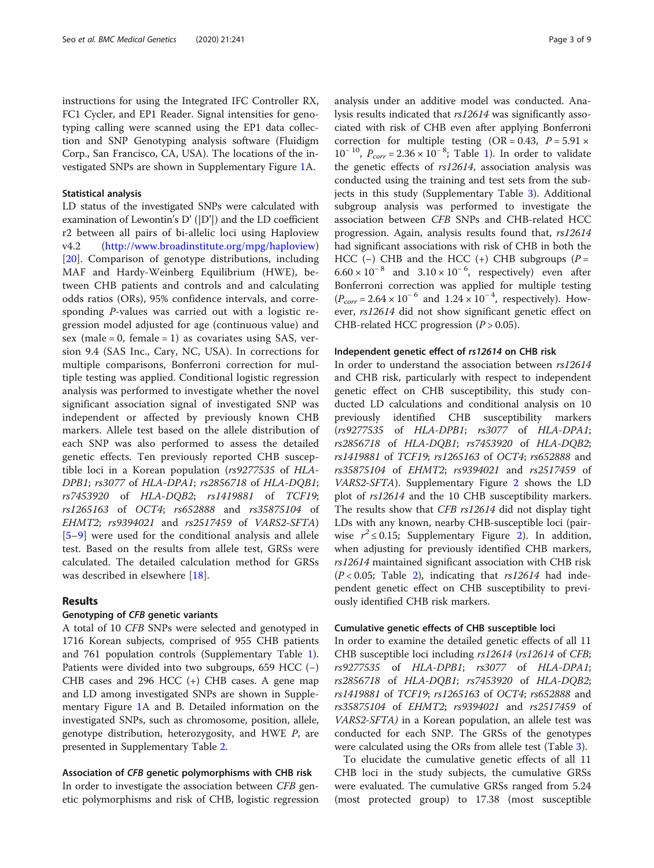instructions for using the Integrated IFC Controller RX, FC1 Cycler, and EP1 Reader. Signal intensities for genotyping calling were scanned using the EP1 data collection and SNP Genotyping analysis software (Fluidigm Corp., San Francisco, CA, USA). The locations of the investigated SNPs are shown in Supplementary Figure [1](#page-7-0)A.

### Statistical analysis

LD status of the investigated SNPs were calculated with examination of Lewontin's D' (|D'|) and the LD coefficient r2 between all pairs of bi-allelic loci using Haploview v4.2 (<http://www.broadinstitute.org/mpg/haploview>) [[20\]](#page-8-0). Comparison of genotype distributions, including MAF and Hardy-Weinberg Equilibrium (HWE), between CHB patients and controls and and calculating odds ratios (ORs), 95% confidence intervals, and corresponding P-values was carried out with a logistic regression model adjusted for age (continuous value) and sex (male = 0, female = 1) as covariates using SAS, version 9.4 (SAS Inc., Cary, NC, USA). In corrections for multiple comparisons, Bonferroni correction for multiple testing was applied. Conditional logistic regression analysis was performed to investigate whether the novel significant association signal of investigated SNP was independent or affected by previously known CHB markers. Allele test based on the allele distribution of each SNP was also performed to assess the detailed genetic effects. Ten previously reported CHB susceptible loci in a Korean population (rs9277535 of HLA-DPB1; rs3077 of HLA-DPA1; rs2856718 of HLA-DQB1; rs7453920 of HLA-DQB2; rs1419881 of TCF19; rs1265163 of OCT4; rs652888 and rs35875104 of EHMT2; rs9394021 and rs2517459 of VARS2-SFTA) [[5](#page-7-0)–[9\]](#page-8-0) were used for the conditional analysis and allele test. Based on the results from allele test, GRSs were calculated. The detailed calculation method for GRSs was described in elsewhere [\[18](#page-8-0)].

## Results

#### Genotyping of CFB genetic variants

A total of 10 CFB SNPs were selected and genotyped in 1716 Korean subjects, comprised of 955 CHB patients and 761 population controls (Supplementary Table [1](#page-7-0)). Patients were divided into two subgroups, 659 HCC (−) CHB cases and 296 HCC (+) CHB cases. A gene map and LD among investigated SNPs are shown in Supplementary Figure [1](#page-7-0)A and B. Detailed information on the investigated SNPs, such as chromosome, position, allele, genotype distribution, heterozygosity, and HWE P, are presented in Supplementary Table [2](#page-7-0).

## Association of CFB genetic polymorphisms with CHB risk

In order to investigate the association between CFB genetic polymorphisms and risk of CHB, logistic regression analysis under an additive model was conducted. Analysis results indicated that rs12614 was significantly associated with risk of CHB even after applying Bonferroni correction for multiple testing  $(OR = 0.43, P = 5.91 \times$  $10^{-10}$ ,  $P_{corr} = 2.36 \times 10^{-8}$ ; Table [1\)](#page-3-0). In order to validate the genetic effects of rs12614, association analysis was conducted using the training and test sets from the subjects in this study (Supplementary Table [3\)](#page-7-0). Additional subgroup analysis was performed to investigate the association between CFB SNPs and CHB-related HCC progression. Again, analysis results found that, rs12614 had significant associations with risk of CHB in both the HCC (-) CHB and the HCC (+) CHB subgroups ( $P =$  $6.60 \times 10^{-8}$  and  $3.10 \times 10^{-6}$ , respectively) even after Bonferroni correction was applied for multiple testing  $(P_{corr} = 2.64 \times 10^{-6}$  and  $1.24 \times 10^{-4}$ , respectively). However, rs12614 did not show significant genetic effect on CHB-related HCC progression  $(P > 0.05)$ .

#### Independent genetic effect of rs12614 on CHB risk

In order to understand the association between rs12614 and CHB risk, particularly with respect to independent genetic effect on CHB susceptibility, this study conducted LD calculations and conditional analysis on 10 previously identified CHB susceptibility markers (rs9277535 of HLA-DPB1; rs3077 of HLA-DPA1; rs2856718 of HLA-DQB1; rs7453920 of HLA-DQB2; rs1419881 of TCF19; rs1265163 of OCT4; rs652888 and rs35875104 of EHMT2; rs9394021 and rs2517459 of VARS2-SFTA). Supplementary Figure [2](#page-7-0) shows the LD plot of rs12614 and the 10 CHB susceptibility markers. The results show that CFB rs12614 did not display tight LDs with any known, nearby CHB-susceptible loci (pairwise  $r^2 \le 0.15$ ; Supplementary Figure [2\)](#page-7-0). In addition, when adjusting for previously identified CHB markers, rs12614 maintained significant association with CHB risk  $(P < 0.05$ ; Table [2\)](#page-4-0), indicating that  $rs12614$  had independent genetic effect on CHB susceptibility to previously identified CHB risk markers.

### Cumulative genetic effects of CHB susceptible loci

In order to examine the detailed genetic effects of all 11 CHB susceptible loci including rs12614 (rs12614 of CFB; rs9277535 of HLA-DPB1; rs3077 of HLA-DPA1; rs2856718 of HLA-DQB1; rs7453920 of HLA-DQB2; rs1419881 of TCF19; rs1265163 of OCT4; rs652888 and rs35875104 of EHMT2; rs9394021 and rs2517459 of VARS2-SFTA) in a Korean population, an allele test was conducted for each SNP. The GRSs of the genotypes were calculated using the ORs from allele test (Table [3\)](#page-5-0).

To elucidate the cumulative genetic effects of all 11 CHB loci in the study subjects, the cumulative GRSs were evaluated. The cumulative GRSs ranged from 5.24 (most protected group) to 17.38 (most susceptible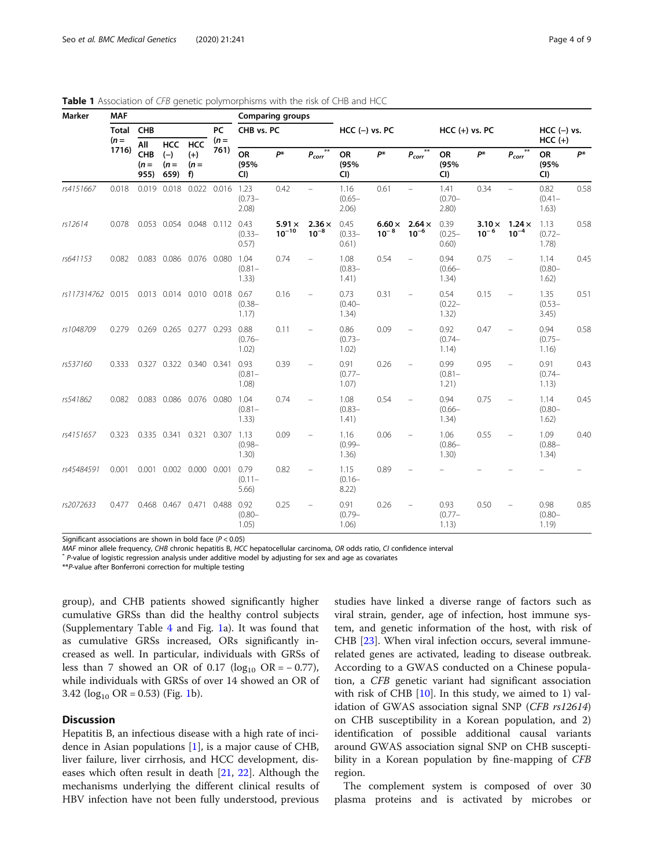| Marker      | <b>MAF</b>             |                              |                                       |                                    | <b>Comparing groups</b> |                            |                             |                                  |                            |                            |                            |                            |                           |                            |                            |      |
|-------------|------------------------|------------------------------|---------------------------------------|------------------------------------|-------------------------|----------------------------|-----------------------------|----------------------------------|----------------------------|----------------------------|----------------------------|----------------------------|---------------------------|----------------------------|----------------------------|------|
|             | <b>Total</b><br>$(n =$ | CHB                          |                                       |                                    | PC<br>$(n =$            | CHB vs. PC                 |                             | $HCC$ (-) vs. PC                 |                            |                            | $HCC (+) vs. PC$           |                            |                           | $HCC$ (-) vs.<br>$HCC (+)$ |                            |      |
|             | 1716)                  | All<br>CHB<br>$(n =$<br>955) | <b>HCC</b><br>$(-)$<br>$(n =$<br>659) | <b>HCC</b><br>$(+)$<br>$(n =$<br>f | 761)                    | OR<br>(95%<br>CI)          | p*                          | $***$<br>$P_{corr}$ <sup>*</sup> | OR<br>(95%<br>CI)          | p*                         | $***$<br>$P_{corr}$        | OR<br>(95%<br>CI)          | p*                        | $P_{corr}$                 | <b>OR</b><br>(95%<br>CI)   | p*   |
| rs4151667   | 0.018                  | 0.019                        | 0.018                                 |                                    | 0.022 0.016 1.23        | $(0.73 -$<br>2.08)         | 0.42                        | $\equiv$                         | 1.16<br>$(0.65 -$<br>2.06) | 0.61                       | $\equiv$                   | 1.41<br>$(0.70 -$<br>2.80) | 0.34                      | $\equiv$                   | 0.82<br>$(0.41 -$<br>1.63) | 0.58 |
| rs12614     | 0.078                  |                              |                                       | 0.053 0.054 0.048 0.112 0.43       |                         | $(0.33 -$<br>0.57)         | $5.91 \times$<br>$10^{-10}$ | $2.36 \times$<br>$10^{-8}$       | 0.45<br>$(0.33 -$<br>0.61) | $6.60 \times$<br>$10^{-8}$ | $2.64 \times$<br>$10^{-6}$ | 0.39<br>$(0.25 -$<br>0.60) | $3.10\times$<br>$10^{-6}$ | $1.24 \times$<br>$10^{-4}$ | 1.13<br>$(0.72 -$<br>1.78) | 0.58 |
| rs641153    | 0.082                  |                              |                                       | 0.083 0.086 0.076 0.080            |                         | 1.04<br>$(0.81 -$<br>1.33) | 0.74                        | $\equiv$                         | 1.08<br>$(0.83 -$<br>1.41) | 0.54                       |                            | 0.94<br>$(0.66 -$<br>1.34) | 0.75                      | $\equiv$                   | 1.14<br>$(0.80 -$<br>1.62) | 0.45 |
| rs117314762 | 0.015                  |                              |                                       | 0.013 0.014 0.010 0.018            |                         | 0.67<br>$(0.38 -$<br>1.17) | 0.16                        |                                  | 0.73<br>$(0.40 -$<br>1.34) | 0.31                       |                            | 0.54<br>$(0.22 -$<br>1.32) | 0.15                      |                            | 1.35<br>$(0.53 -$<br>3.45) | 0.51 |
| rs1048709   | 0.279                  | 0.269                        |                                       | 0.265 0.277 0.293                  |                         | 0.88<br>$(0.76 -$<br>1.02) | 0.11                        |                                  | 0.86<br>$(0.73 -$<br>1.02) | 0.09                       |                            | 0.92<br>$(0.74 -$<br>1.14) | 0.47                      |                            | 0.94<br>$(0.75 -$<br>1.16) | 0.58 |
| rs537160    | 0.333                  | 0.327                        |                                       | 0.322 0.340 0.341                  |                         | 0.93<br>$(0.81 -$<br>1.08) | 0.39                        |                                  | 0.91<br>$(0.77 -$<br>1.07) | 0.26                       |                            | 0.99<br>$(0.81 -$<br>1.21) | 0.95                      |                            | 0.91<br>$(0.74 -$<br>1.13) | 0.43 |
| rs541862    | 0.082                  |                              |                                       | 0.083 0.086 0.076 0.080            |                         | 1.04<br>$(0.81 -$<br>1.33) | 0.74                        |                                  | 1.08<br>$(0.83 -$<br>1.41) | 0.54                       |                            | 0.94<br>$(0.66 -$<br>1.34) | 0.75                      |                            | 1.14<br>$(0.80 -$<br>1.62) | 0.45 |
| rs4151657   | 0.323                  |                              | 0.335 0.341 0.321                     |                                    | 0.307 1.13              | $(0.98 -$<br>1.30)         | 0.09                        |                                  | 1.16<br>$(0.99 -$<br>1.36) | 0.06                       |                            | 1.06<br>$(0.86 -$<br>1.30) | 0.55                      |                            | 1.09<br>$(0.88 -$<br>1.34) | 0.40 |
| rs45484591  | 0.001                  |                              |                                       | 0.001 0.002 0.000 0.001            |                         | 0.79<br>$(0.11 -$<br>5.66  | 0.82                        |                                  | 1.15<br>$(0.16 -$<br>8.22) | 0.89                       |                            |                            |                           |                            |                            |      |
| rs2072633   | 0.477                  |                              |                                       | 0.468 0.467 0.471 0.488 0.92       |                         | $(0.80 -$<br>1.05)         | 0.25                        |                                  | 0.91<br>$(0.79 -$<br>1.06) | 0.26                       |                            | 0.93<br>$(0.77 -$<br>1.13) | 0.50                      |                            | 0.98<br>$(0.80 -$<br>1.19  | 0.85 |

<span id="page-3-0"></span>Table 1 Association of CFB genetic polymorphisms with the risk of CHB and HCC

Significant associations are shown in bold face ( $P < 0.05$ )

 $MAF$  minor allele frequency, CHB chronic hepatitis B, HCC hepatocellular carcinoma, OR odds ratio, CI confidence interval  $*$  P-value of logistic regression analysis under additive model by adjusting for sex and age as co

\*\*P-value after Bonferroni correction for multiple testing

group), and CHB patients showed significantly higher cumulative GRSs than did the healthy control subjects (Supplementary Table [4](#page-7-0) and Fig. [1](#page-6-0)a). It was found that as cumulative GRSs increased, ORs significantly increased as well. In particular, individuals with GRSs of less than 7 showed an OR of 0.17 ( $log_{10}$  OR = − 0.77), while individuals with GRSs of over 14 showed an OR of 3.42 ( $log_{10}$  $log_{10}$  $log_{10}$  OR = 0.53) (Fig. 1b).

## **Discussion**

Hepatitis B, an infectious disease with a high rate of incidence in Asian populations [[1\]](#page-7-0), is a major cause of CHB, liver failure, liver cirrhosis, and HCC development, diseases which often result in death [\[21](#page-8-0), [22\]](#page-8-0). Although the mechanisms underlying the different clinical results of HBV infection have not been fully understood, previous studies have linked a diverse range of factors such as viral strain, gender, age of infection, host immune system, and genetic information of the host, with risk of CHB [\[23](#page-8-0)]. When viral infection occurs, several immunerelated genes are activated, leading to disease outbreak. According to a GWAS conducted on a Chinese population, a CFB genetic variant had significant association with risk of CHB [[10\]](#page-8-0). In this study, we aimed to 1) validation of GWAS association signal SNP (CFB rs12614) on CHB susceptibility in a Korean population, and 2) identification of possible additional causal variants around GWAS association signal SNP on CHB susceptibility in a Korean population by fine-mapping of CFB region.

The complement system is composed of over 30 plasma proteins and is activated by microbes or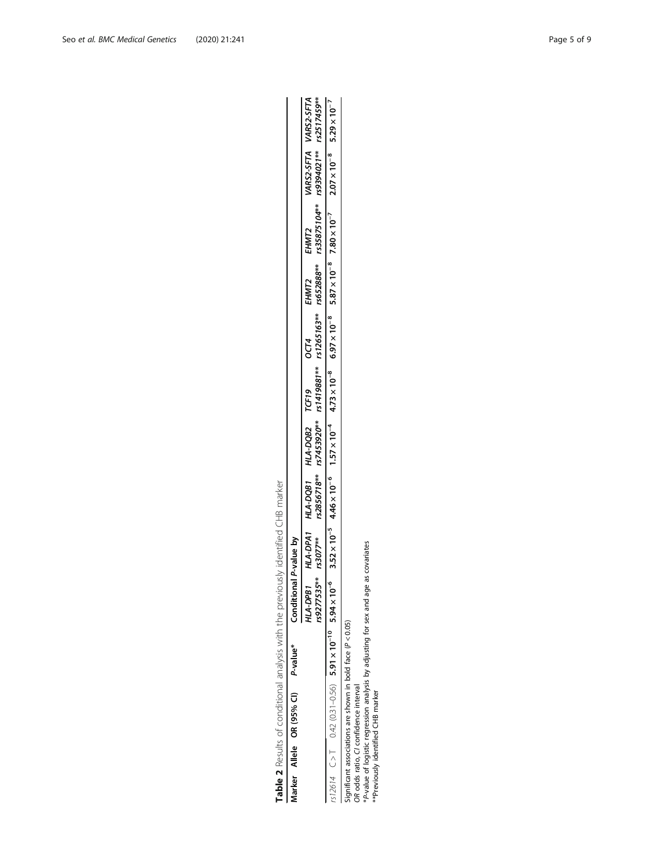| $\frac{1}{2}$        |  |
|----------------------|--|
|                      |  |
|                      |  |
| $\frac{1}{2}$<br>J   |  |
|                      |  |
| j                    |  |
|                      |  |
|                      |  |
|                      |  |
|                      |  |
|                      |  |
| $\ddot{\phantom{a}}$ |  |
|                      |  |
|                      |  |
|                      |  |
|                      |  |
|                      |  |
|                      |  |
|                      |  |
|                      |  |
|                      |  |
|                      |  |
|                      |  |
|                      |  |
|                      |  |
|                      |  |
|                      |  |
|                      |  |
|                      |  |
|                      |  |
|                      |  |
| $\frac{1}{2}$        |  |
|                      |  |
|                      |  |
|                      |  |
|                      |  |
| כ<br>גו              |  |
|                      |  |
|                      |  |
| $\frac{1}{2}$<br>į   |  |
|                      |  |
|                      |  |
| í                    |  |
|                      |  |

|  | Vlarker Allele OR (95% CI) P-value* | Conditional P-value by                                                                                                                                                                                                                                        |  |                                  |      |       |                                                                                                       |                      |
|--|-------------------------------------|---------------------------------------------------------------------------------------------------------------------------------------------------------------------------------------------------------------------------------------------------------------|--|----------------------------------|------|-------|-------------------------------------------------------------------------------------------------------|----------------------|
|  |                                     | <b>IRd-D-R1</b>                                                                                                                                                                                                                                               |  | HLA-DPA1 HLA-DQB1 HLA-DQB2 TCF19 | OCT4 | EHMT2 | EHMT2                                                                                                 | ARS2-SFTA VARS2-SFTA |
|  |                                     |                                                                                                                                                                                                                                                               |  |                                  |      |       | **624777535*** rs267778*** rs388278** rs1479887*** rs1265163** rs552888** rs35751041921*** rs2517459* |                      |
|  |                                     | $\frac{1}{2512614}$ (0.42 (0.31~0.56) 5.91 x 10 <sup>-6</sup> 5.94 x 10 <sup>-6</sup> 3.52 x 10 <sup>-6</sup> 4.46 x 10 <sup>-6</sup> 4.73 x 10 <sup>-8</sup> 5.87 x 10 <sup>-8</sup> 7.80 x 10 <sup>-7</sup> 9.29 x 10 <sup>-7</sup> 5.29 x 10 <sup>-7</sup> |  |                                  |      |       |                                                                                                       |                      |
|  |                                     |                                                                                                                                                                                                                                                               |  |                                  |      |       |                                                                                                       |                      |

Significant associations are shown in bold face (P < 0.05)

OR odds ratio, CI confidence interval

Significant associations are shown in bold face  $(P < 0.05)$ <br>OR odds ratio, CI confidence interval<br>\*P-value of logistic regression analysis by adjusting for sex and age as covariates<br>\*\*Previously identified CHB marker \*P-value of logistic regression analysis by adjusting for sex and age as covariates \*\*Previously identified CHB marker

<span id="page-4-0"></span>Seo et al. BMC Medical Genetics (2020) 21:241 and the set of 9 and the set of 9 and the Page 5 of 9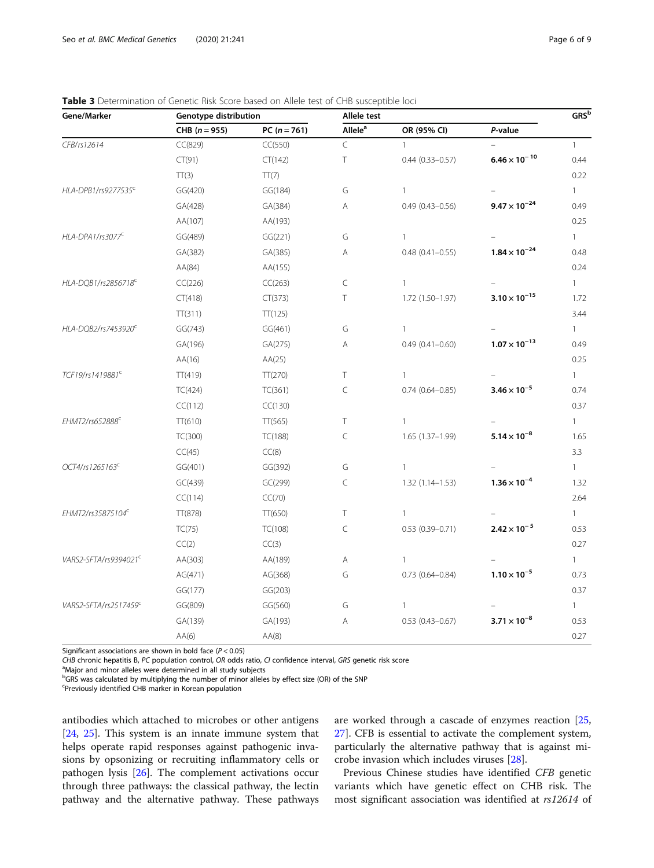| Gene/Marker                       | Genotype distribution |                | Allele test         |                        |                        |              |
|-----------------------------------|-----------------------|----------------|---------------------|------------------------|------------------------|--------------|
|                                   | $CHB (n = 955)$       | $PC (n = 761)$ | Allele <sup>a</sup> | OR (95% CI)            | P-value                |              |
| CFB/rs12614                       | CC(829)               | CC(550)        | $\subset$           | $\mathbf{1}$           |                        | $\mathbf{1}$ |
|                                   | CT(91)                | CT(142)        | Τ                   | $0.44(0.33 - 0.57)$    | $6.46 \times 10^{-10}$ | 0.44         |
|                                   | TT(3)                 | TT(7)          |                     |                        |                        | 0.22         |
| HLA-DPB1/rs9277535 <sup>c</sup>   | GG(420)               | GG(184)        | G                   | $\mathbf{1}$           |                        | $\mathbf{1}$ |
|                                   | GA(428)               | GA(384)        | Α                   | $0.49(0.43 - 0.56)$    | $9.47 \times 10^{-24}$ | 0.49         |
|                                   | AA(107)               | AA(193)        |                     |                        |                        | 0.25         |
| HLA-DPA1/rs3077 <sup>C</sup>      | GG(489)               | GG(221)        | G                   | $\mathbf{1}$           |                        | $\mathbf{1}$ |
|                                   | GA(382)               | GA(385)        | Α                   | $0.48(0.41 - 0.55)$    | $1.84 \times 10^{-24}$ | 0.48         |
|                                   | AA(84)                | AA(155)        |                     |                        |                        | 0.24         |
| HLA-DQB1/rs2856718 <sup>C</sup>   | CC(226)               | CC(263)        | C                   | $\mathbf{1}$           |                        | $\mathbf{1}$ |
|                                   | CT(418)               | CT(373)        | Τ                   | $1.72(1.50-1.97)$      | $3.10 \times 10^{-15}$ | 1.72         |
|                                   | TT(311)               | TT(125)        |                     |                        |                        | 3.44         |
| HLA-DQB2/rs7453920 <sup>€</sup>   | GG(743)               | GG(461)        | G                   | $\mathbf{1}$           |                        | $\mathbf{1}$ |
|                                   | GA(196)               | GA(275)        | А                   | $0.49(0.41 - 0.60)$    | $1.07 \times 10^{-13}$ | 0.49         |
|                                   | AA(16)                | AA(25)         |                     |                        |                        | 0.25         |
| TCF19/rs1419881 <sup>c</sup>      | TT(419)               | TT(270)        | T.                  | $\mathbf{1}$           |                        | $\mathbf{1}$ |
|                                   | TC(424)               | TC(361)        | C                   | $0.74(0.64 - 0.85)$    | $3.46 \times 10^{-5}$  | 0.74         |
|                                   | CC(112)               | CC(130)        |                     |                        |                        | 0.37         |
| EHMT2/rs652888 <sup>C</sup>       | TT(610)               | TT(565)        | Τ                   | $\mathbf{1}$           |                        | $\mathbf{1}$ |
|                                   | TC(300)               | TC(188)        | $\subset$           | $1.65(1.37-1.99)$      | $5.14 \times 10^{-8}$  | 1.65         |
|                                   | CC(45)                | CC(8)          |                     |                        |                        | 3.3          |
| OCT4/rs1265163 <sup>c</sup>       | GG(401)               | GG(392)        | G                   | $\mathbf{1}$           |                        | $\mathbf{1}$ |
|                                   | GC(439)               | GC(299)        | C                   | $1.32(1.14 - 1.53)$    | $1.36 \times 10^{-4}$  | 1.32         |
|                                   | CC(114)               | CC(70)         |                     |                        |                        | 2.64         |
| EHMT2/rs35875104 <sup>c</sup>     | TT(878)               | TT(650)        | Τ                   | $\mathbf{1}$           |                        | $\mathbf{1}$ |
|                                   | TC(75)                | TC(108)        | $\subset$           | $0.53(0.39 - 0.71)$    | $2.42 \times 10^{-5}$  | 0.53         |
|                                   | CC(2)                 | CC(3)          |                     |                        |                        | 0.27         |
| VARS2-SFTA/rs9394021 <sup>c</sup> | AA(303)               | AA(189)        | Α                   | $\mathbf{1}$           |                        | $\mathbf{1}$ |
|                                   | AG(471)               | AG(368)        | G                   | $0.73$ $(0.64 - 0.84)$ | $1.10 \times 10^{-5}$  | 0.73         |
|                                   | GG(177)               | GG(203)        |                     |                        |                        | 0.37         |
| VARS2-SFTA/rs2517459C             | GG(809)               | GG(560)        | G                   | 1                      |                        | $\mathbf{1}$ |
|                                   | GA(139)               | GA(193)        | Α                   | $0.53(0.43 - 0.67)$    | $3.71 \times 10^{-8}$  | 0.53         |
|                                   | AA(6)                 | AA(8)          |                     |                        |                        | 0.27         |

<span id="page-5-0"></span>

| Table 3 Determination of Genetic Risk Score based on Allele test of CHB susceptible loci |  |  |
|------------------------------------------------------------------------------------------|--|--|
|------------------------------------------------------------------------------------------|--|--|

Significant associations are shown in bold face  $(P < 0.05)$ 

CHB chronic hepatitis B, PC population control, OR odds ratio, CI confidence interval, GRS genetic risk score

<sup>a</sup>Major and minor alleles were determined in all study subjects

<sup>b</sup>GRS was calculated by multiplying the number of minor alleles by effect size (OR) of the SNP

<sup>c</sup>Previously identified CHB marker in Korean population

antibodies which attached to microbes or other antigens [[24,](#page-8-0) [25\]](#page-8-0). This system is an innate immune system that helps operate rapid responses against pathogenic invasions by opsonizing or recruiting inflammatory cells or pathogen lysis [[26\]](#page-8-0). The complement activations occur through three pathways: the classical pathway, the lectin pathway and the alternative pathway. These pathways are worked through a cascade of enzymes reaction [[25](#page-8-0), [27\]](#page-8-0). CFB is essential to activate the complement system, particularly the alternative pathway that is against microbe invasion which includes viruses [\[28\]](#page-8-0).

Previous Chinese studies have identified CFB genetic variants which have genetic effect on CHB risk. The most significant association was identified at rs12614 of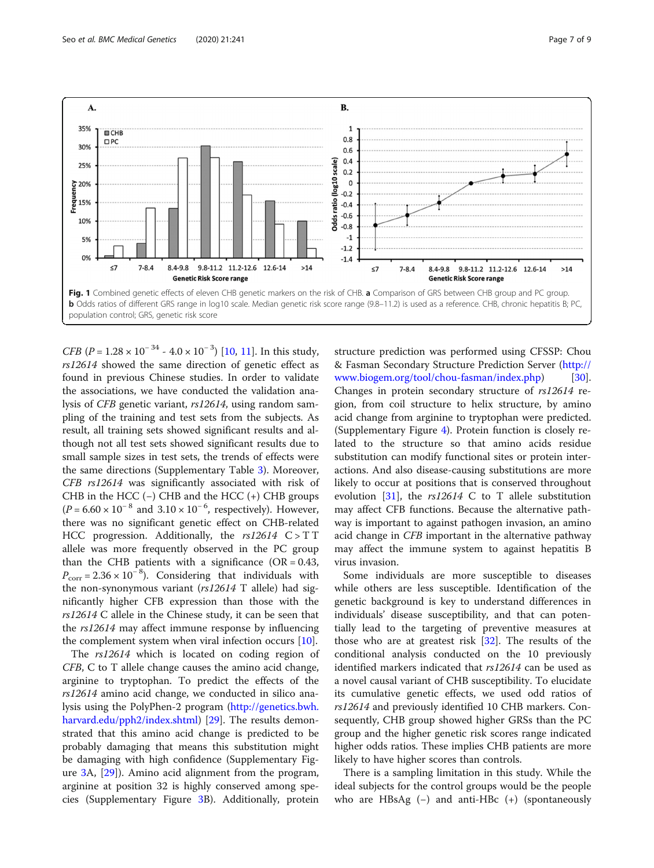<span id="page-6-0"></span>

*CFB* ( $P = 1.28 \times 10^{-34}$  -  $4.0 \times 10^{-3}$ ) [\[10](#page-8-0), [11](#page-8-0)]. In this study, rs12614 showed the same direction of genetic effect as found in previous Chinese studies. In order to validate the associations, we have conducted the validation analysis of CFB genetic variant, rs12614, using random sampling of the training and test sets from the subjects. As result, all training sets showed significant results and although not all test sets showed significant results due to small sample sizes in test sets, the trends of effects were the same directions (Supplementary Table [3\)](#page-7-0). Moreover, CFB rs12614 was significantly associated with risk of CHB in the HCC ( $-$ ) CHB and the HCC ( $+$ ) CHB groups  $(P = 6.60 \times 10^{-8}$  and  $3.10 \times 10^{-6}$ , respectively). However, there was no significant genetic effect on CHB-related HCC progression. Additionally, the  $rs12614$  C > TT allele was more frequently observed in the PC group than the CHB patients with a significance ( $OR = 0.43$ ,  $P_{\text{corr}} = 2.36 \times 10^{-8}$ ). Considering that individuals with the non-synonymous variant (rs12614 T allele) had significantly higher CFB expression than those with the rs12614 C allele in the Chinese study, it can be seen that the rs12614 may affect immune response by influencing the complement system when viral infection occurs [\[10](#page-8-0)].

The rs12614 which is located on coding region of CFB, C to T allele change causes the amino acid change, arginine to tryptophan. To predict the effects of the rs12614 amino acid change, we conducted in silico analysis using the PolyPhen-2 program ([http://genetics.bwh.](http://genetics.bwh.harvard.edu/pph2/index.shtml) [harvard.edu/pph2/index.shtml](http://genetics.bwh.harvard.edu/pph2/index.shtml)) [\[29\]](#page-8-0). The results demonstrated that this amino acid change is predicted to be probably damaging that means this substitution might be damaging with high confidence (Supplementary Figure [3A](#page-7-0), [[29](#page-8-0)]). Amino acid alignment from the program, arginine at position 32 is highly conserved among species (Supplementary Figure [3](#page-7-0)B). Additionally, protein

structure prediction was performed using CFSSP: Chou & Fasman Secondary Structure Prediction Server [\(http://](http://www.biogem.org/tool/chou-fasman/index.php) [www.biogem.org/tool/chou-fasman/index.php\)](http://www.biogem.org/tool/chou-fasman/index.php) [\[30](#page-8-0)]. Changes in protein secondary structure of rs12614 region, from coil structure to helix structure, by amino acid change from arginine to tryptophan were predicted. (Supplementary Figure [4\)](#page-7-0). Protein function is closely related to the structure so that amino acids residue substitution can modify functional sites or protein interactions. And also disease-causing substitutions are more likely to occur at positions that is conserved throughout evolution [\[31](#page-8-0)], the rs12614 C to T allele substitution may affect CFB functions. Because the alternative pathway is important to against pathogen invasion, an amino acid change in CFB important in the alternative pathway may affect the immune system to against hepatitis B virus invasion.

Some individuals are more susceptible to diseases while others are less susceptible. Identification of the genetic background is key to understand differences in individuals' disease susceptibility, and that can potentially lead to the targeting of preventive measures at those who are at greatest risk [\[32](#page-8-0)]. The results of the conditional analysis conducted on the 10 previously identified markers indicated that rs12614 can be used as a novel causal variant of CHB susceptibility. To elucidate its cumulative genetic effects, we used odd ratios of rs12614 and previously identified 10 CHB markers. Consequently, CHB group showed higher GRSs than the PC group and the higher genetic risk scores range indicated higher odds ratios. These implies CHB patients are more likely to have higher scores than controls.

There is a sampling limitation in this study. While the ideal subjects for the control groups would be the people who are HBsAg (−) and anti-HBc (+) (spontaneously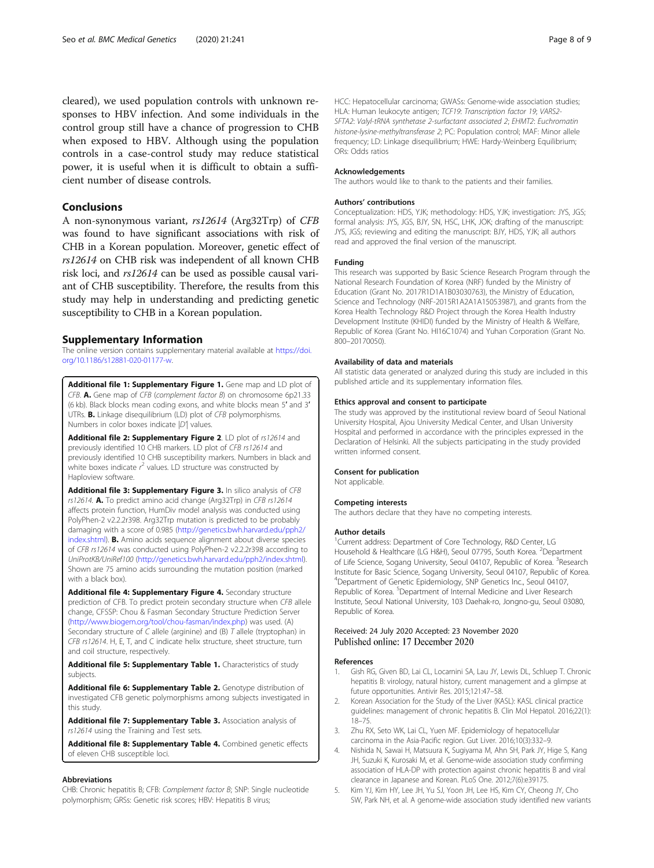<span id="page-7-0"></span>cleared), we used population controls with unknown responses to HBV infection. And some individuals in the control group still have a chance of progression to CHB when exposed to HBV. Although using the population controls in a case-control study may reduce statistical power, it is useful when it is difficult to obtain a sufficient number of disease controls.

## Conclusions

A non-synonymous variant, rs12614 (Arg32Trp) of CFB was found to have significant associations with risk of CHB in a Korean population. Moreover, genetic effect of rs12614 on CHB risk was independent of all known CHB risk loci, and rs12614 can be used as possible causal variant of CHB susceptibility. Therefore, the results from this study may help in understanding and predicting genetic susceptibility to CHB in a Korean population.

## Supplementary Information

The online version contains supplementary material available at [https://doi.](https://doi.org/10.1186/s12881-020-01177-w) [org/10.1186/s12881-020-01177-w](https://doi.org/10.1186/s12881-020-01177-w).

Additional file 1: Supplementary Figure 1. Gene map and LD plot of CFB.  $\mathbf{A}$ . Gene map of CFB (complement factor B) on chromosome 6p21.33 (6 kb). Black blocks mean coding exons, and white blocks mean 5′ and 3′ UTRs. B. Linkage disequilibrium (LD) plot of CFB polymorphisms. Numbers in color boxes indicate  $|D|$  values.

Additional file 2: Supplementary Figure 2. LD plot of rs12614 and previously identified 10 CHB markers. LD plot of CFB rs12614 and previously identified 10 CHB susceptibility markers. Numbers in black and white boxes indicate  $r^2$  values. LD structure was constructed by Haploview software.

Additional file 3: Supplementary Figure 3. In silico analysis of CFB rs12614. A. To predict amino acid change (Arg32Trp) in CFB rs12614 affects protein function, HumDiv model analysis was conducted using PolyPhen-2 v2.2.2r398. Arg32Trp mutation is predicted to be probably damaging with a score of 0.985 ([http://genetics.bwh.harvard.edu/pph2/](http://genetics.bwh.harvard.edu/pph2/index.shtml) [index.shtml](http://genetics.bwh.harvard.edu/pph2/index.shtml)). B. Amino acids sequence alignment about diverse species of CFB rs12614 was conducted using PolyPhen-2 v2.2.2r398 according to UniProtKB/UniRef100 (<http://genetics.bwh.harvard.edu/pph2/index.shtml>). Shown are 75 amino acids surrounding the mutation position (marked with a black box).

Additional file 4: Supplementary Figure 4. Secondary structure prediction of CFB. To predict protein secondary structure when CFB allele change, CFSSP: Chou & Fasman Secondary Structure Prediction Server (<http://www.biogem.org/tool/chou-fasman/index.php>) was used. (A) Secondary structure of  $\tilde{C}$  allele (arginine) and (B)  $T$  allele (tryptophan) in CFB rs12614. H, E, T, and C indicate helix structure, sheet structure, turn and coil structure, respectively.

Additional file 5: Supplementary Table 1. Characteristics of study subjects.

Additional file 6: Supplementary Table 2. Genotype distribution of investigated CFB genetic polymorphisms among subjects investigated in this study.

Additional file 7: Supplementary Table 3. Association analysis of rs12614 using the Training and Test sets.

Additional file 8: Supplementary Table 4. Combined genetic effects of eleven CHB susceptible loci.

#### Abbreviations

CHB: Chronic hepatitis B; CFB: Complement factor B; SNP: Single nucleotide polymorphism; GRSs: Genetic risk scores; HBV: Hepatitis B virus;

HCC: Hepatocellular carcinoma; GWASs: Genome-wide association studies; HLA: Human leukocyte antigen; TCF19: Transcription factor 19; VARS2- SFTA2: Valyl-tRNA synthetase 2-surfactant associated 2; EHMT2: Euchromatin histone-lysine-methyltransferase 2; PC: Population control; MAF: Minor allele frequency; LD: Linkage disequilibrium; HWE: Hardy-Weinberg Equilibrium; ORs: Odds ratios

#### Acknowledgements

The authors would like to thank to the patients and their families.

#### Authors' contributions

Conceptualization: HDS, YJK; methodology: HDS, YJK; investigation: JYS, JGS; formal analysis: JYS, JGS, BJY, SN, HSC, LHK, JOK; drafting of the manuscript: JYS, JGS; reviewing and editing the manuscript: BJY, HDS, YJK; all authors read and approved the final version of the manuscript.

#### Funding

This research was supported by Basic Science Research Program through the National Research Foundation of Korea (NRF) funded by the Ministry of Education (Grant No. 2017R1D1A1B03030763), the Ministry of Education, Science and Technology (NRF-2015R1A2A1A15053987), and grants from the Korea Health Technology R&D Project through the Korea Health Industry Development Institute (KHIDI) funded by the Ministry of Health & Welfare, Republic of Korea (Grant No. HI16C1074) and Yuhan Corporation (Grant No. 800–20170050).

#### Availability of data and materials

All statistic data generated or analyzed during this study are included in this published article and its supplementary information files.

#### Ethics approval and consent to participate

The study was approved by the institutional review board of Seoul National University Hospital, Ajou University Medical Center, and Ulsan University Hospital and performed in accordance with the principles expressed in the Declaration of Helsinki. All the subjects participating in the study provided written informed consent.

#### Consent for publication

Not applicable.

#### Competing interests

The authors declare that they have no competing interests.

#### Author details

<sup>1</sup> Current address: Department of Core Technology, R&D Center, LG Household & Healthcare (LG H&H), Seoul 07795, South Korea. <sup>2</sup>Department of Life Science, Sogang University, Seoul 04107, Republic of Korea. <sup>3</sup>Research Institute for Basic Science, Sogang University, Seoul 04107, Republic of Korea. 4 Department of Genetic Epidemiology, SNP Genetics Inc., Seoul 04107, Republic of Korea. <sup>5</sup>Department of Internal Medicine and Liver Research Institute, Seoul National University, 103 Daehak-ro, Jongno-gu, Seoul 03080, Republic of Korea.

## Received: 24 July 2020 Accepted: 23 November 2020 Published online: 17 December 2020

#### **References**

- 1. Gish RG, Given BD, Lai CL, Locarnini SA, Lau JY, Lewis DL, Schluep T. Chronic hepatitis B: virology, natural history, current management and a glimpse at future opportunities. Antivir Res. 2015;121:47–58.
- 2. Korean Association for the Study of the Liver (KASL): KASL clinical practice guidelines: management of chronic hepatitis B. Clin Mol Hepatol. 2016;22(1): 18–75.
- 3. Zhu RX, Seto WK, Lai CL, Yuen MF. Epidemiology of hepatocellular carcinoma in the Asia-Pacific region. Gut Liver. 2016;10(3):332–9.
- 4. Nishida N, Sawai H, Matsuura K, Sugiyama M, Ahn SH, Park JY, Hige S, Kang JH, Suzuki K, Kurosaki M, et al. Genome-wide association study confirming association of HLA-DP with protection against chronic hepatitis B and viral clearance in Japanese and Korean. PLoS One. 2012;7(6):e39175.
- 5. Kim YJ, Kim HY, Lee JH, Yu SJ, Yoon JH, Lee HS, Kim CY, Cheong JY, Cho SW, Park NH, et al. A genome-wide association study identified new variants